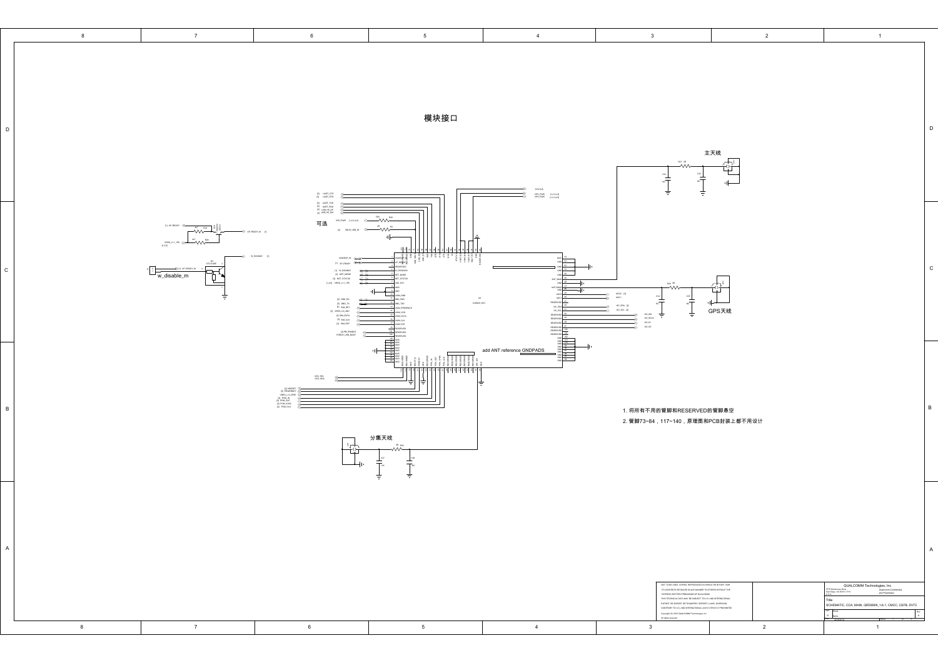| $\overline{\mathbf{3}}$<br>$\bf{8}$<br>$7\overline{ }$<br>$6\phantom{.0}$<br>$5\overline{)}$<br>$\overline{4}$<br>$\overline{2}$<br>1<br>模块接口<br>主天线<br>쓭<br>$\frac{1}{\sqrt{2\pi}}$<br>$\frac{a_1}{a_1}$<br>$\leftarrow$<br>STATUS<br>VPH_PWR [1234.8]<br>VPH_PWR [1234.8]<br>ŧ<br>$\begin{array}{cc}  \mathbf{S} & \mathsf{UART\_CTS}\\  \mathbf{S} & \mathsf{UART\_RTS} \end{array}$<br>≫<br>(6) 1447,7X0<br>(6) 1447,6X0<br>(4) 156,45,0M<br>≪──™<br>VPH_PWR [1,2,3,4,5]<br>可选<br>[1] AP_READY<br>$\stackrel{^{\circ\circ}}{\longrightarrow}$<br>$\begin{picture}(20,10) \put(0,0){\line(1,0){10}} \put(15,0){\line(1,0){10}} \put(15,0){\line(1,0){10}} \put(15,0){\line(1,0){10}} \put(15,0){\line(1,0){10}} \put(15,0){\line(1,0){10}} \put(15,0){\line(1,0){10}} \put(15,0){\line(1,0){10}} \put(15,0){\line(1,0){10}} \put(15,0){\line(1,0){10}} \put(15,0){\line(1,0){10}} \put(15,0){\line(1$<br>(4) VEUS_USB_IN<br>$\left\langle \max_{[0,0]} m_{1}m_{2} \right\rangle \ll 1.00$<br>W DSABLE<br>where n<br>H ap egant <del>(( ))</del><br>$\begin{array}{c c}\n\hline\n\end{array}$ = $\begin{array}{c}\n\hline\n\end{array}$ = $\begin{array}{c}\n\hline\n\end{array}$ = $\begin{array}{c}\n\hline\n\end{array}$ = $\begin{array}{c}\n\hline\n\end{array}$ = $\begin{array}{c}\n\hline\n\end{array}$ = $\begin{array}{c}\n\hline\n\end{array}$ = $\begin{array}{c}\n\hline\n\end{array}$ = $\begin{array}{c}\n\hline\n\end{array}$ = $\begin{array}{c}\n\hline\n\end{array}$ =<br>$\rightarrow$ H AP READY M<br>19 W_DISABILE<br>200M_TSM_IRE<br>2012 VEGAL VIOLET<br>2013 VEGAL VIOLET<br>τ_<br>R29 08<br>灬<br>$\frac{\text{AGO1}}{\text{AGC1}}$ [3]<br>$rac{c_{36}}{c_{36}}$<br>$^{\rm cs}$<br>$\begin{tabular}{c} pq\,\, \text{no} \,\, qx \\ pq\,\, \text{ono} \,\, qx \\ pq\,\, \text{snr} \,\, pz \\ pq\,\, \text{snr} \,\, qx \\ pq\,\, \text{snr} \,\, qx \\ pq\,\, \text{snr} \,\, qx \\ pq\,\, \text{snr} \,\, qz \\ pq\,\, \text{snr} \,\, pz \\ pq\,\, \text{snr} \,\, pz \\ pq\,\, \text{snr} \,\, pz \\ pq\,\, \text{snr} \,\, pz \\ pq\,\, \text{snr} \,\, pz \\ pq\,\, \text{snr}$<br>$\begin{array}{r l} \hline \text{RSER/ED} & \text{d1} \\ \hline \text{BC} & \text{SOA} \\ \hline \text{BC} & \text{d2} \\ \hline \text{BC} & \text{d1} \\ \hline \end{array}$<br>⊣⊢+<br>$\overline{M}$<br>$\approx$ T<br>sc.sov. Rt<br>$\ll$<br>GPS天线<br>ac.sci. pj<br>÷<br>ŧ<br>05,95<br>05,5CLK<br>05,01<br>05,00<br>$\begin{array}{r rrrr} \hline \text{RSEINED} & \text{MSE} & \text{MSE} \\ \hline \text{RSEINED} & \text{MSE} & \text{MSE} \\ \hline \text{RSEINED} & \text{RSEINED} & \text{MSE} \\ \hline \text{RSEISINED} & \text{MSE} & \text{MSE} \\ \hline \text{RSEISINED} & \text{MSE} & \text{MSE} \\ \hline \text{RSEISINED} & \text{MSE} & \text{MSE} \\ \hline \text{RSE} & \text{MSE} & \text{MSE} \\ \hline \text{RSE} & \text{MSE} & \text{MSE} \\ \$<br>PM_RWALE<br>FORCE_USB_BOOT<br>add ANT reference GNDPADS<br>$\begin{tabular}{l} \hline \textbf{R} \textbf{B} \textbf{B} \textbf{B} \textbf{B} \textbf{B} \textbf{B} \textbf{B} \textbf{B} \textbf{B} \textbf{B} \textbf{B} \textbf{B} \textbf{B} \textbf{B} \textbf{B} \textbf{B} \textbf{B} \textbf{B} \textbf{B} \textbf{B} \textbf{B} \textbf{B} \textbf{B} \textbf{B} \textbf{B} \textbf{B} \textbf{B} \textbf{B} \textbf{B} \textbf{B} \textbf{B} \textbf{B} \textbf{B} \textbf{B$<br>최 하위 자치 자치 :<br>1202, SOL<br>1202, SOA<br>$\begin{tabular}{c} \bf [S] NRSIST \\ \bf [S] POMERLY \\ \bf [VSG1], 11, 2945 \\ \bf [S] PCM, ON \\ \bf [S] PCM, ON \\ \bf [P] POM, LNA \\ \bf [P] POM, LNA \\ \end{tabular}$<br>1. 将所有不用的管脚和RESERVED的管脚悬空<br>2. 管脚73~84,117~140,原理图和PCB封装上都不用设计<br>分集天线<br>$\frac{1}{1}$<br>$\pm$ |
|-------------------------------------------------------------------------------------------------------------------------------------------------------------------------------------------------------------------------------------------------------------------------------------------------------------------------------------------------------------------------------------------------------------------------------------------------------------------------------------------------------------------------------------------------------------------------------------------------------------------------------------------------------------------------------------------------------------------------------------------------------------------------------------------------------------------------------------------------------------------------------------------------------------------------------------------------------------------------------------------------------------------------------------------------------------------------------------------------------------------------------------------------------------------------------------------------------------------------------------------------------------------------------------------------------------------------------------------------------------------------------------------------------------------------------------------------------------------------------------------------------------------------------------------------------------------------------------------------------------------------------------------------------------------------------------------------------------------------------------------------------------------------------------------------------------------------------------------------------------------------------------------------------------------------------------------------------------------------------------------------------------------------------------------------------------------------------------------------------------------------------------------------------------------------------------------------------------------------------------------------------------------------------------------------------------------------------------------------------------------------------------------------------------------------------------------------------------------------------------------------------------------------------------------------------------------------------------------------------------------------------------------------------------------------------------------------------------------------------------------------------------------------------------------------------------------------------------------------------------------------------------------------------------------------------------------------------------------------------------------------------------------------------------------------------------------------------------------------------------------------------------------------------------------------------------------------------------------------------------------------------------------------------------------------------------------------------------------------------------------------------------------------------------------------------------------------------------------------------------------------------------------------------------------------------------------------------------------------------------------------------------------------------------------------------------------------------------------------|
|                                                                                                                                                                                                                                                                                                                                                                                                                                                                                                                                                                                                                                                                                                                                                                                                                                                                                                                                                                                                                                                                                                                                                                                                                                                                                                                                                                                                                                                                                                                                                                                                                                                                                                                                                                                                                                                                                                                                                                                                                                                                                                                                                                                                                                                                                                                                                                                                                                                                                                                                                                                                                                                                                                                                                                                                                                                                                                                                                                                                                                                                                                                                                                                                                                                                                                                                                                                                                                                                                                                                                                                                                                                                                                                         |
|                                                                                                                                                                                                                                                                                                                                                                                                                                                                                                                                                                                                                                                                                                                                                                                                                                                                                                                                                                                                                                                                                                                                                                                                                                                                                                                                                                                                                                                                                                                                                                                                                                                                                                                                                                                                                                                                                                                                                                                                                                                                                                                                                                                                                                                                                                                                                                                                                                                                                                                                                                                                                                                                                                                                                                                                                                                                                                                                                                                                                                                                                                                                                                                                                                                                                                                                                                                                                                                                                                                                                                                                                                                                                                                         |
|                                                                                                                                                                                                                                                                                                                                                                                                                                                                                                                                                                                                                                                                                                                                                                                                                                                                                                                                                                                                                                                                                                                                                                                                                                                                                                                                                                                                                                                                                                                                                                                                                                                                                                                                                                                                                                                                                                                                                                                                                                                                                                                                                                                                                                                                                                                                                                                                                                                                                                                                                                                                                                                                                                                                                                                                                                                                                                                                                                                                                                                                                                                                                                                                                                                                                                                                                                                                                                                                                                                                                                                                                                                                                                                         |
| ÷                                                                                                                                                                                                                                                                                                                                                                                                                                                                                                                                                                                                                                                                                                                                                                                                                                                                                                                                                                                                                                                                                                                                                                                                                                                                                                                                                                                                                                                                                                                                                                                                                                                                                                                                                                                                                                                                                                                                                                                                                                                                                                                                                                                                                                                                                                                                                                                                                                                                                                                                                                                                                                                                                                                                                                                                                                                                                                                                                                                                                                                                                                                                                                                                                                                                                                                                                                                                                                                                                                                                                                                                                                                                                                                       |
| A<br>NOT TO BE USED, COPIED, REPRODUCED IN WHOLE OR IN PART, NOR<br>QUALCOMM Technologies, Inc<br>775 Morehouse Drive<br>an Diego, CA 92121-1714<br>ITS CONTENTS REVEALED IN ANY MANNER TO OTHERS WITHOUT THE<br>EXPRESS WRITTEN PERMISSION OF QUALCOMM.<br>THIS TECHNICAL DATA MAY BE SUBJECT TO U.S. AND INTERNATIONAL<br>Qualcomm Confidential<br>and Proprietary<br>Title<br>EXPORT, RE-EXPORT OR TRANSFER ("EXPORT") LAWS. DIVERSION<br>SCHEMATIC, CCA, MAIN, QRD8909_1-6-1, CMCC, CSFB, DVT2<br>CONTRARY TO U.S. AND INTERNATIONAL LAW IS STRUCTLY PROHIBITED<br>$\frac{1}{2}$<br>$\label{eq:main} \text{Copyright (C) 2016 QAMCOM}\\h\text{ Tachraicques, in:}$ All rights reaered<br>$\overline{A}$<br>250<br>$\sim$                                                                                                                                                                                                                                                                                                                                                                                                                                                                                                                                                                                                                                                                                                                                                                                                                                                                                                                                                                                                                                                                                                                                                                                                                                                                                                                                                                                                                                                                                                                                                                                                                                                                                                                                                                                                                                                                                                                                                                                                                                                                                                                                                                                                                                                                                                                                                                                                                                                                                                                                                                                                                                                                                                                                                                                                                                                                                                                                                                                            |
| 8<br>$7\overline{ }$<br>$6\overline{6}$<br>$5\overline{)}$<br>$\mathbf{3}$<br>$\overline{2}$<br>$\overline{4}$<br>$\overline{1}$                                                                                                                                                                                                                                                                                                                                                                                                                                                                                                                                                                                                                                                                                                                                                                                                                                                                                                                                                                                                                                                                                                                                                                                                                                                                                                                                                                                                                                                                                                                                                                                                                                                                                                                                                                                                                                                                                                                                                                                                                                                                                                                                                                                                                                                                                                                                                                                                                                                                                                                                                                                                                                                                                                                                                                                                                                                                                                                                                                                                                                                                                                                                                                                                                                                                                                                                                                                                                                                                                                                                                                                        |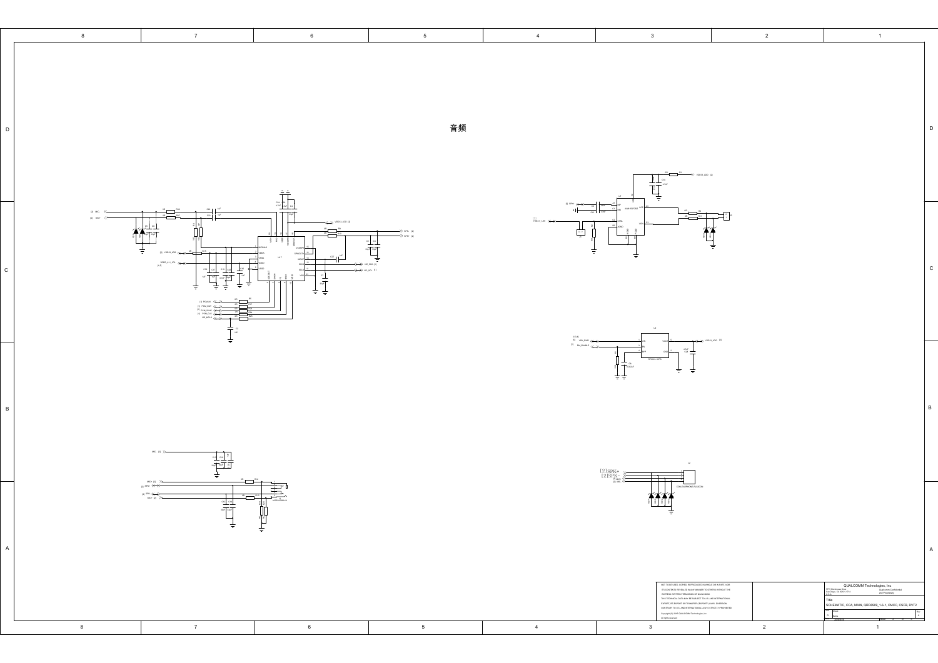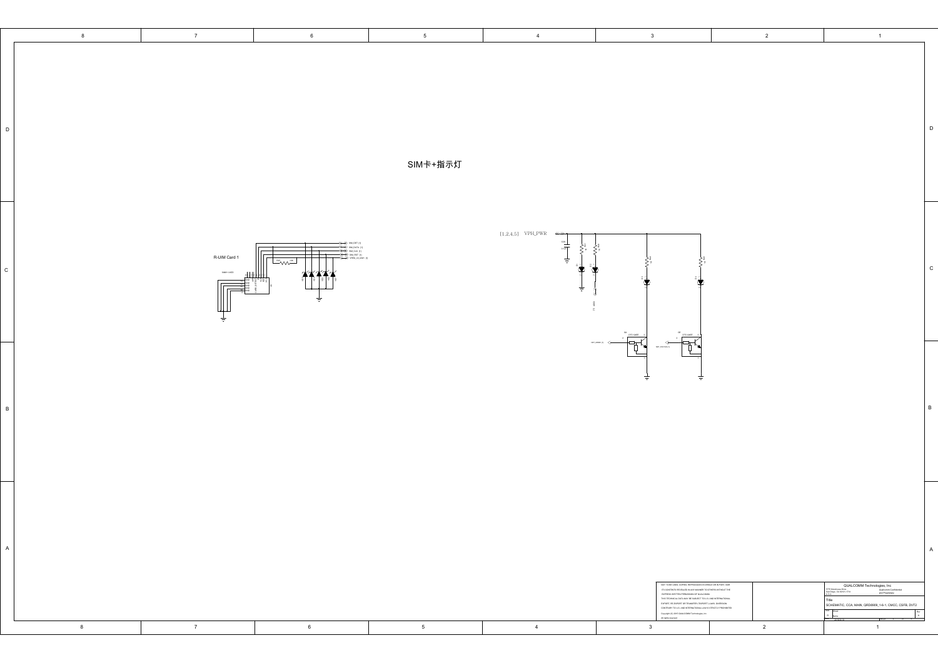|                 | $\bf 8$ | $7\overline{ }$ | $6\overline{6}$                                                                                                                                                                                                                                                                                                                                                                  | $5\phantom{.0}$ | $\overline{4}$                                 | $\overline{\mathbf{3}}$                                                                                                                                                                                                                                                                                                                                                                     | $\overline{2}$ | $\overline{1}$                                                                                                                                                                                                                                                                                                                                                                                                                                                                                                                                                   |                |
|-----------------|---------|-----------------|----------------------------------------------------------------------------------------------------------------------------------------------------------------------------------------------------------------------------------------------------------------------------------------------------------------------------------------------------------------------------------|-----------------|------------------------------------------------|---------------------------------------------------------------------------------------------------------------------------------------------------------------------------------------------------------------------------------------------------------------------------------------------------------------------------------------------------------------------------------------------|----------------|------------------------------------------------------------------------------------------------------------------------------------------------------------------------------------------------------------------------------------------------------------------------------------------------------------------------------------------------------------------------------------------------------------------------------------------------------------------------------------------------------------------------------------------------------------------|----------------|
| $\mathsf D$     |         |                 |                                                                                                                                                                                                                                                                                                                                                                                  | SIM卡+指示灯        |                                                |                                                                                                                                                                                                                                                                                                                                                                                             |                |                                                                                                                                                                                                                                                                                                                                                                                                                                                                                                                                                                  |                |
| $\mathtt{C}$    |         | R-UIM Card 1    | (→) sm_cik [t<br>$\rightarrow$ sm rst h<br>$\frac{1}{2}$ $\frac{1}{2}$ $\frac{1}{2}$ $\frac{1}{2}$ $\frac{1}{2}$ $\frac{1}{2}$ $\frac{1}{2}$ $\frac{1}{2}$ $\frac{1}{2}$ $\frac{1}{2}$ $\frac{1}{2}$ $\frac{1}{2}$ $\frac{1}{2}$ $\frac{1}{2}$ $\frac{1}{2}$ $\frac{1}{2}$ $\frac{1}{2}$ $\frac{1}{2}$ $\frac{1}{2}$ $\frac{1}{2}$ $\frac{1}{2}$ $\frac{1}{2}$<br>$\tau\tau\tau$ |                 | $[1,2,4,5]$ VPH_PWR $\leftrightarrow$<br>a san |                                                                                                                                                                                                                                                                                                                                                                                             |                |                                                                                                                                                                                                                                                                                                                                                                                                                                                                                                                                                                  |                |
| $\, {\bf B} \,$ |         |                 |                                                                                                                                                                                                                                                                                                                                                                                  |                 |                                                | ₹                                                                                                                                                                                                                                                                                                                                                                                           |                |                                                                                                                                                                                                                                                                                                                                                                                                                                                                                                                                                                  |                |
| A               |         |                 |                                                                                                                                                                                                                                                                                                                                                                                  |                 |                                                | NOT TO BE USED, COPIED, REPRODUCED IN WHOLE OR IN PART, NOR<br>WITH THE MINIMUM COMPANY MAPPARAMENT ON WHICH CONTINUES INTO CONTINUES INTO CONTINUES INTO A 1970 PER MINIMUM THE EXPRESSION WAS THEN PERMISSION OF QUALCOMINAL PART INTERFERING INTO THE EXPRESSION WAS THE REPORT OF THE REP<br>$\label{eq:main} \text{Copyright (C) 2015 QUALOCAMI Tachmingses, inc-Ali cigita: measured$ |                | $\begin{tabular}{l c c c} \hline \textbf{QUALCOMM Technologyies, Inc} \\\ \textcolor{blue}{\bullet\text{ Quisom}\xspace\hspace{0.2cm}\hspace{0.2cm}\textbf{Custcomm}\xspace\hspace{0.2cm}\textbf{Custological}\hspace{0.2cm}\hspace{0.2cm}\textbf{Custological}\hspace{0.2cm}\hspace{0.2cm}\textbf{Custological}\hspace{0.2cm}\hspace{0.2cm}\textbf{Custal}\xspace} \end{tabular}$<br>775 Morehouse Drive<br>an Diego, CA 92121-1714<br>U.S.A.<br>Title<br>SCHEMATIC, CCA, MAIN, QRD8909_1-6-1, CMCC, CSFB, DVT2<br>,<br>,<br>L <sup>ov</sup><br>$-2a$<br>$\sim$ | $\overline{A}$ |
|                 | 8       | $7\overline{ }$ | 6                                                                                                                                                                                                                                                                                                                                                                                | $5\overline{5}$ | $\overline{4}$                                 | $\overline{\mathbf{3}}$                                                                                                                                                                                                                                                                                                                                                                     | $\overline{2}$ | $\blacksquare$                                                                                                                                                                                                                                                                                                                                                                                                                                                                                                                                                   |                |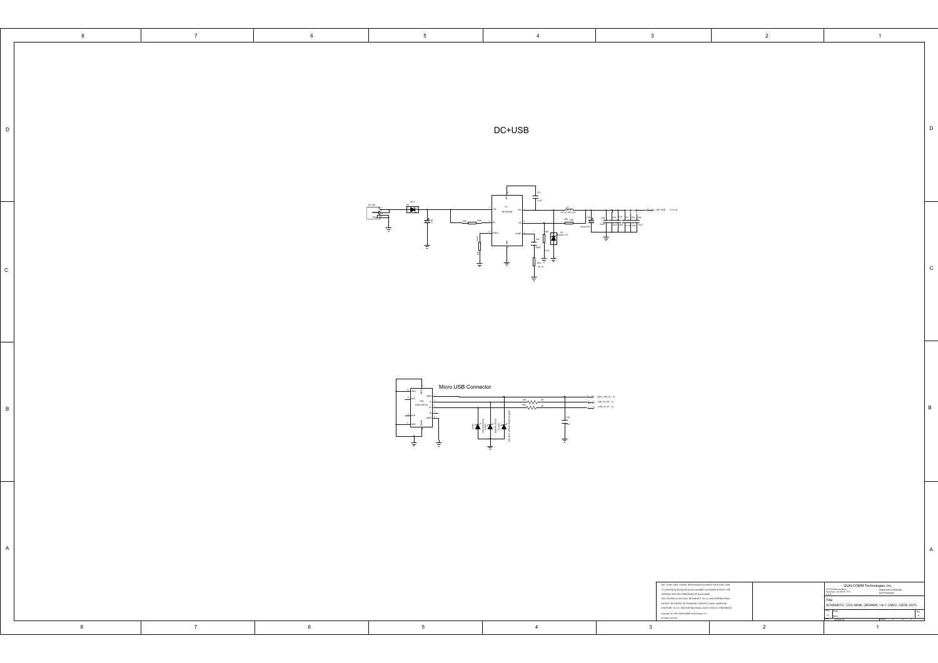|              | 8 | $7\overline{ }$ | $6\overline{6}$ | $5\overline{)}$                                        | 4                                                                                                                                                                                                                                                                                                                                                                                         | $\overline{\mathbf{3}}$                                                                                                                                                                                                                                                                                                                                                                                                                                                 | $\overline{2}$ | $\blacksquare$                                                                                                                                                                                                                                                                                                                                                   |                                                                                                                   |
|--------------|---|-----------------|-----------------|--------------------------------------------------------|-------------------------------------------------------------------------------------------------------------------------------------------------------------------------------------------------------------------------------------------------------------------------------------------------------------------------------------------------------------------------------------------|-------------------------------------------------------------------------------------------------------------------------------------------------------------------------------------------------------------------------------------------------------------------------------------------------------------------------------------------------------------------------------------------------------------------------------------------------------------------------|----------------|------------------------------------------------------------------------------------------------------------------------------------------------------------------------------------------------------------------------------------------------------------------------------------------------------------------------------------------------------------------|-------------------------------------------------------------------------------------------------------------------|
| $\mathsf D$  |   |                 |                 |                                                        | $DC+USE$                                                                                                                                                                                                                                                                                                                                                                                  |                                                                                                                                                                                                                                                                                                                                                                                                                                                                         |                |                                                                                                                                                                                                                                                                                                                                                                  | D                                                                                                                 |
| $\mathbf{c}$ |   |                 |                 | $\mathbf{E}$<br>国<br>$rac{100}{200}$<br>i ŻZ<br>ŧ<br>÷ | 主。<br>$\omega$<br>MR442CN<br>SLF 1014ST-10<br>848 190<br>$\mathbf{F}$<br>ŧ.                                                                                                                                                                                                                                                                                                               | $\leftarrow$ DANCING $\leftarrow$                                                                                                                                                                                                                                                                                                                                                                                                                                       |                |                                                                                                                                                                                                                                                                                                                                                                  | $\mathbf{c}$                                                                                                      |
| B            |   |                 |                 | Micro USB Connector<br>MN-USB<br>÷                     | $\begin{picture}(20,5) \put(0,0){\line(1,0){10}} \put(15,0){\line(1,0){10}} \put(15,0){\line(1,0){10}} \put(15,0){\line(1,0){10}} \put(15,0){\line(1,0){10}} \put(15,0){\line(1,0){10}} \put(15,0){\line(1,0){10}} \put(15,0){\line(1,0){10}} \put(15,0){\line(1,0){10}} \put(15,0){\line(1,0){10}} \put(15,0){\line(1,0){10}} \put(15,0){\line(1,$<br>$\overline{\text{Tr}}$<br>江龍工<br>ŧ | <b>M. RUSSUR W.</b><br>$\overbrace{\leftarrow}$ $\overbrace{\leftarrow}$ $\overbrace{\leftarrow}$ $\overbrace{\leftarrow}$ $\overbrace{\leftarrow}$ $\overbrace{\leftarrow}$ $\overbrace{\leftarrow}$ $\overbrace{\leftarrow}$                                                                                                                                                                                                                                          |                |                                                                                                                                                                                                                                                                                                                                                                  | $\mathsf B$                                                                                                       |
| $\mathsf A$  | 8 | $\overline{7}$  | $6\overline{6}$ | $5\overline{)}$                                        | $\overline{4}$                                                                                                                                                                                                                                                                                                                                                                            | NOT TO BE USED, COPIED, REPRODUCED IN WHOLE OR IN PART, NOR<br>IN 11 10 MA GRALL COMEN RAMPAROUND IN WHICH CHI IN WAY IN MARCH TO<br>IT IS CONTINUE SUSCALED IN ANY MANNER TO OTHER WITHOUT THE<br>EXPRESS WRITTEN PERMISSION OF QUALCOMIA<br>THE TECHNICAL DUX AND WE WE SUBJECT TO US. AND INTERFANT<br>$\label{eq:conjugate} \text{Copyight}(\mathbb{C}) \text{ 2016 QAM:COthR} \text{ Tachecicques, int}\\ \text{All ofgen: nearest-ed}$<br>$\overline{\mathbf{3}}$ | $\overline{2}$ | $\begin{tabular}{l c c } \hline \textbf{QUALCOMM Technologyies, Inc}\\ \hline \textbf{Gulow} & \textbf{Quilosum Condition}\\ \hline \textbf{GulsonedA} & \textbf{Quilosum Condition}\\ \hline \textbf{and Property}\\ \hline \end{tabular}$<br>775 Morehouse Drive<br>Ian Diego, CA 92121-1714<br>Title<br>Size Sheet<br>D Name<br>$\overline{\phantom{a}}$<br>1 | $\overline{A}$                                                                                                    |
|              |   |                 |                 |                                                        |                                                                                                                                                                                                                                                                                                                                                                                           |                                                                                                                                                                                                                                                                                                                                                                                                                                                                         |                |                                                                                                                                                                                                                                                                                                                                                                  | SCHEMATIC, CCA, MAIN, QRD8909_1-6-1, CMCC, CSFB, DVT2<br>$\begin{array}{c} \mathsf{Re} \\ \mathsf{A} \end{array}$ |